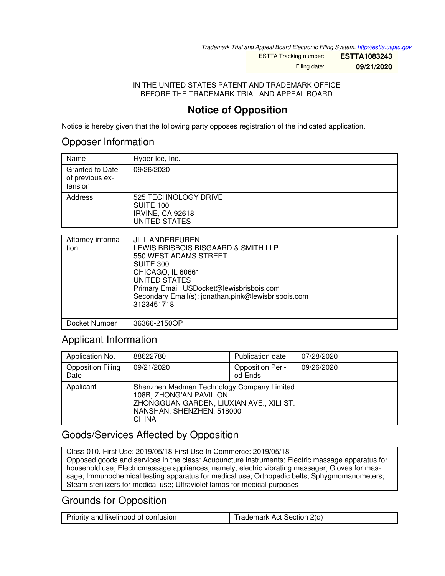*Trademark Trial and Appeal Board Electronic Filing System. <http://estta.uspto.gov>*

ESTTA Tracking number: **ESTTA1083243** Filing date: **09/21/2020**

IN THE UNITED STATES PATENT AND TRADEMARK OFFICE BEFORE THE TRADEMARK TRIAL AND APPEAL BOARD

## **Notice of Opposition**

Notice is hereby given that the following party opposes registration of the indicated application.

#### Opposer Information

| Name                                                 | Hyper Ice, Inc.                                                        |
|------------------------------------------------------|------------------------------------------------------------------------|
| <b>Granted to Date</b><br>of previous ex-<br>tension | 09/26/2020                                                             |
| Address                                              | 525 TECHNOLOGY DRIVE<br>SUITE 100<br>IRVINE, CA 92618<br>UNITED STATES |
| Attains and half a max a                             | $III$ $AN$                                                             |

| Attorney informa-<br>tion | <b>JILL ANDERFUREN</b><br>LEWIS BRISBOIS BISGAARD & SMITH LLP<br>550 WEST ADAMS STREET<br>SUITE 300<br>CHICAGO, IL 60661<br>UNITED STATES<br>Primary Email: USDocket@lewisbrisbois.com<br>Secondary Email(s): jonathan.pink@lewisbrisbois.com<br>3123451718 |
|---------------------------|-------------------------------------------------------------------------------------------------------------------------------------------------------------------------------------------------------------------------------------------------------------|
| Docket Number             | 36366-2150OP                                                                                                                                                                                                                                                |

## Applicant Information

| Application No.                  | 88622780                                                                                                                                                       | <b>Publication date</b>            | 07/28/2020 |
|----------------------------------|----------------------------------------------------------------------------------------------------------------------------------------------------------------|------------------------------------|------------|
| <b>Opposition Filing</b><br>Date | 09/21/2020                                                                                                                                                     | <b>Opposition Peri-</b><br>od Ends | 09/26/2020 |
| Applicant                        | Shenzhen Madman Technology Company Limited<br>108B, ZHONG'AN PAVILION<br>ZHONGGUAN GARDEN, LIUXIAN AVE., XILI ST.<br>NANSHAN, SHENZHEN, 518000<br><b>CHINA</b> |                                    |            |

# Goods/Services Affected by Opposition

Class 010. First Use: 2019/05/18 First Use In Commerce: 2019/05/18 Opposed goods and services in the class: Acupuncture instruments; Electric massage apparatus for household use; Electricmassage appliances, namely, electric vibrating massager; Gloves for massage; Immunochemical testing apparatus for medical use; Orthopedic belts; Sphygmomanometers; Steam sterilizers for medical use; Ultraviolet lamps for medical purposes

### Grounds for Opposition

|--|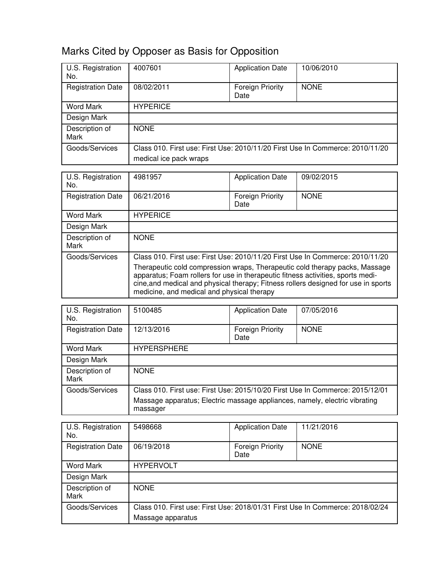# Marks Cited by Opposer as Basis for Opposition

| U.S. Registration<br>No. | 4007601                                                                                                 | <b>Application Date</b>         | 10/06/2010  |
|--------------------------|---------------------------------------------------------------------------------------------------------|---------------------------------|-------------|
| <b>Registration Date</b> | 08/02/2011                                                                                              | <b>Foreign Priority</b><br>Date | <b>NONE</b> |
| Word Mark                | <b>HYPERICE</b>                                                                                         |                                 |             |
| Design Mark              |                                                                                                         |                                 |             |
| Description of<br>Mark   | <b>NONE</b>                                                                                             |                                 |             |
| Goods/Services           | Class 010. First use: First Use: 2010/11/20 First Use In Commerce: 2010/11/20<br>medical ice pack wraps |                                 |             |

| U.S. Registration<br>No. | 4981957                                                                                                                                                                                                                                                                                            | <b>Application Date</b>         | 09/02/2015  |
|--------------------------|----------------------------------------------------------------------------------------------------------------------------------------------------------------------------------------------------------------------------------------------------------------------------------------------------|---------------------------------|-------------|
| <b>Registration Date</b> | 06/21/2016                                                                                                                                                                                                                                                                                         | <b>Foreign Priority</b><br>Date | <b>NONE</b> |
| Word Mark                | <b>HYPERICE</b>                                                                                                                                                                                                                                                                                    |                                 |             |
| Design Mark              |                                                                                                                                                                                                                                                                                                    |                                 |             |
| Description of<br>Mark   | <b>NONE</b>                                                                                                                                                                                                                                                                                        |                                 |             |
| Goods/Services           | Class 010. First use: First Use: 2010/11/20 First Use In Commerce: 2010/11/20                                                                                                                                                                                                                      |                                 |             |
|                          | Therapeutic cold compression wraps, Therapeutic cold therapy packs, Massage<br>apparatus; Foam rollers for use in therapeutic fitness activities, sports medi-<br>cine, and medical and physical therapy; Fitness rollers designed for use in sports<br>medicine, and medical and physical therapy |                                 |             |

| U.S. Registration<br>No. | 5100485                                                                                | <b>Application Date</b>         | 07/05/2016  |
|--------------------------|----------------------------------------------------------------------------------------|---------------------------------|-------------|
| <b>Registration Date</b> | 12/13/2016                                                                             | <b>Foreign Priority</b><br>Date | <b>NONE</b> |
| <b>Word Mark</b>         | <b>HYPERSPHERE</b>                                                                     |                                 |             |
| Design Mark              |                                                                                        |                                 |             |
| Description of<br>Mark   | <b>NONE</b>                                                                            |                                 |             |
| Goods/Services           | Class 010. First use: First Use: 2015/10/20 First Use In Commerce: 2015/12/01          |                                 |             |
|                          | Massage apparatus; Electric massage appliances, namely, electric vibrating<br>massager |                                 |             |

| U.S. Registration<br>No. | 5498668                                                                       | <b>Application Date</b>         | 11/21/2016  |
|--------------------------|-------------------------------------------------------------------------------|---------------------------------|-------------|
| <b>Registration Date</b> | 06/19/2018                                                                    | <b>Foreign Priority</b><br>Date | <b>NONE</b> |
| <b>Word Mark</b>         | <b>HYPERVOLT</b>                                                              |                                 |             |
| Design Mark              |                                                                               |                                 |             |
| Description of<br>Mark   | <b>NONE</b>                                                                   |                                 |             |
| Goods/Services           | Class 010. First use: First Use: 2018/01/31 First Use In Commerce: 2018/02/24 |                                 |             |
|                          | Massage apparatus                                                             |                                 |             |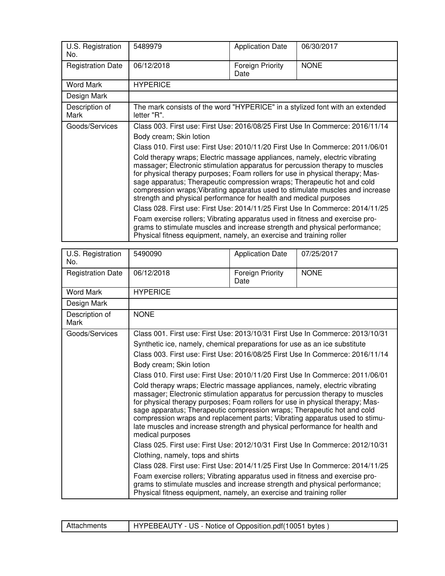| U.S. Registration<br>No. | 5489979                                                                                                                                                                                                                                                                                                                                                                                                                                                                                                                                                                                                                                                                                                                                                                                                                                                                                                         | <b>Application Date</b>  | 06/30/2017                                                                    |
|--------------------------|-----------------------------------------------------------------------------------------------------------------------------------------------------------------------------------------------------------------------------------------------------------------------------------------------------------------------------------------------------------------------------------------------------------------------------------------------------------------------------------------------------------------------------------------------------------------------------------------------------------------------------------------------------------------------------------------------------------------------------------------------------------------------------------------------------------------------------------------------------------------------------------------------------------------|--------------------------|-------------------------------------------------------------------------------|
| <b>Registration Date</b> | 06/12/2018                                                                                                                                                                                                                                                                                                                                                                                                                                                                                                                                                                                                                                                                                                                                                                                                                                                                                                      | Foreign Priority<br>Date | <b>NONE</b>                                                                   |
| <b>Word Mark</b>         | <b>HYPERICE</b>                                                                                                                                                                                                                                                                                                                                                                                                                                                                                                                                                                                                                                                                                                                                                                                                                                                                                                 |                          |                                                                               |
| Design Mark              |                                                                                                                                                                                                                                                                                                                                                                                                                                                                                                                                                                                                                                                                                                                                                                                                                                                                                                                 |                          |                                                                               |
| Description of<br>Mark   | The mark consists of the word "HYPERICE" in a stylized font with an extended<br>letter "R".                                                                                                                                                                                                                                                                                                                                                                                                                                                                                                                                                                                                                                                                                                                                                                                                                     |                          |                                                                               |
| Goods/Services           | Class 003. First use: First Use: 2016/08/25 First Use In Commerce: 2016/11/14<br>Body cream; Skin lotion<br>Class 010. First use: First Use: 2010/11/20 First Use In Commerce: 2011/06/01<br>Cold therapy wraps; Electric massage appliances, namely, electric vibrating<br>massager; Electronic stimulation apparatus for percussion therapy to muscles<br>for physical therapy purposes; Foam rollers for use in physical therapy; Mas-<br>sage apparatus; Therapeutic compression wraps; Therapeutic hot and cold<br>strength and physical performance for health and medical purposes<br>Class 028. First use: First Use: 2014/11/25 First Use In Commerce: 2014/11/25<br>Foam exercise rollers; Vibrating apparatus used in fitness and exercise pro-<br>grams to stimulate muscles and increase strength and physical performance;<br>Physical fitness equipment, namely, an exercise and training roller |                          | compression wraps; Vibrating apparatus used to stimulate muscles and increase |

| U.S. Registration<br>No. | 5490090                                                                                                                                                                                                                                                                                                                                                                                                                                                                                                  | <b>Application Date</b>         | 07/25/2017  |
|--------------------------|----------------------------------------------------------------------------------------------------------------------------------------------------------------------------------------------------------------------------------------------------------------------------------------------------------------------------------------------------------------------------------------------------------------------------------------------------------------------------------------------------------|---------------------------------|-------------|
| <b>Registration Date</b> | 06/12/2018                                                                                                                                                                                                                                                                                                                                                                                                                                                                                               | <b>Foreign Priority</b><br>Date | <b>NONE</b> |
| <b>Word Mark</b>         | <b>HYPERICE</b>                                                                                                                                                                                                                                                                                                                                                                                                                                                                                          |                                 |             |
| Design Mark              |                                                                                                                                                                                                                                                                                                                                                                                                                                                                                                          |                                 |             |
| Description of<br>Mark   | <b>NONE</b>                                                                                                                                                                                                                                                                                                                                                                                                                                                                                              |                                 |             |
| Goods/Services           | Class 001. First use: First Use: 2013/10/31 First Use In Commerce: 2013/10/31<br>Synthetic ice, namely, chemical preparations for use as an ice substitute<br>Class 003. First use: First Use: 2016/08/25 First Use In Commerce: 2016/11/14                                                                                                                                                                                                                                                              |                                 |             |
|                          | Body cream; Skin lotion                                                                                                                                                                                                                                                                                                                                                                                                                                                                                  |                                 |             |
|                          | Class 010. First use: First Use: 2010/11/20 First Use In Commerce: 2011/06/01                                                                                                                                                                                                                                                                                                                                                                                                                            |                                 |             |
|                          | Cold therapy wraps; Electric massage appliances, namely, electric vibrating<br>massager; Electronic stimulation apparatus for percussion therapy to muscles<br>for physical therapy purposes; Foam rollers for use in physical therapy; Mas-<br>sage apparatus; Therapeutic compression wraps; Therapeutic hot and cold<br>compression wraps and replacement parts; Vibrating apparatus used to stimu-<br>late muscles and increase strength and physical performance for health and<br>medical purposes |                                 |             |
|                          | Class 025. First use: First Use: 2012/10/31 First Use In Commerce: 2012/10/31                                                                                                                                                                                                                                                                                                                                                                                                                            |                                 |             |
|                          | Clothing, namely, tops and shirts                                                                                                                                                                                                                                                                                                                                                                                                                                                                        |                                 |             |
|                          | Class 028. First use: First Use: 2014/11/25 First Use In Commerce: 2014/11/25                                                                                                                                                                                                                                                                                                                                                                                                                            |                                 |             |
|                          | Foam exercise rollers; Vibrating apparatus used in fitness and exercise pro-<br>grams to stimulate muscles and increase strength and physical performance;<br>Physical fitness equipment, namely, an exercise and training roller                                                                                                                                                                                                                                                                        |                                 |             |

| Attachments | HYPEBEAUTY - US - Notice of Opposition.pdf(10051 bytes) |
|-------------|---------------------------------------------------------|
|-------------|---------------------------------------------------------|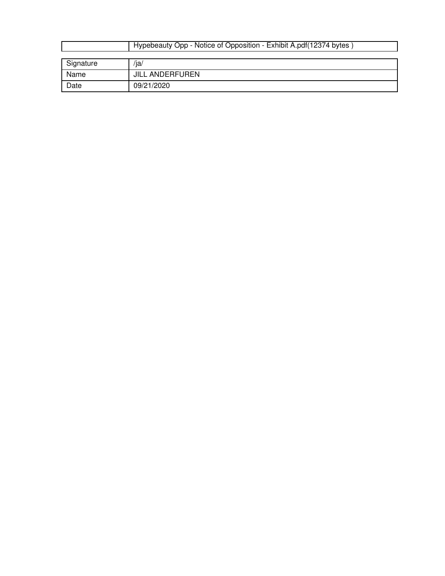|           | Hypebeauty Opp - Notice of Opposition - Exhibit A.pdf (12374 bytes |
|-----------|--------------------------------------------------------------------|
|           |                                                                    |
| Signature | /ja/                                                               |
| Name      | <b>JILL ANDERFUREN</b>                                             |
| Date      | 09/21/2020                                                         |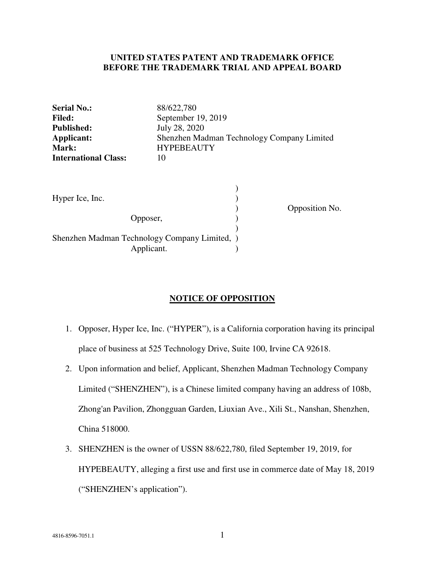#### **UNITED STATES PATENT AND TRADEMARK OFFICE BEFORE THE TRADEMARK TRIAL AND APPEAL BOARD**

| <b>Serial No.:</b>                                        | 88/622,780                                 |
|-----------------------------------------------------------|--------------------------------------------|
| <b>Filed:</b>                                             | September 19, 2019                         |
| <b>Published:</b>                                         | July 28, 2020                              |
| Applicant:                                                | Shenzhen Madman Technology Company Limited |
| Mark:                                                     | <b>HYPEBEAUTY</b>                          |
| <b>International Class:</b>                               | 10                                         |
| Hyper Ice, Inc.<br>Opposer,                               | Opposition No.                             |
| Shenzhen Madman Technology Company Limited,<br>Applicant. |                                            |

#### **NOTICE OF OPPOSITION**

- 1. Opposer, Hyper Ice, Inc. ("HYPER"), is a California corporation having its principal place of business at 525 Technology Drive, Suite 100, Irvine CA 92618.
- 2. Upon information and belief, Applicant, Shenzhen Madman Technology Company Limited ("SHENZHEN"), is a Chinese limited company having an address of 108b, Zhong'an Pavilion, Zhongguan Garden, Liuxian Ave., Xili St., Nanshan, Shenzhen, China 518000.
- 3. SHENZHEN is the owner of USSN 88/622,780, filed September 19, 2019, for HYPEBEAUTY, alleging a first use and first use in commerce date of May 18, 2019 ("SHENZHEN's application").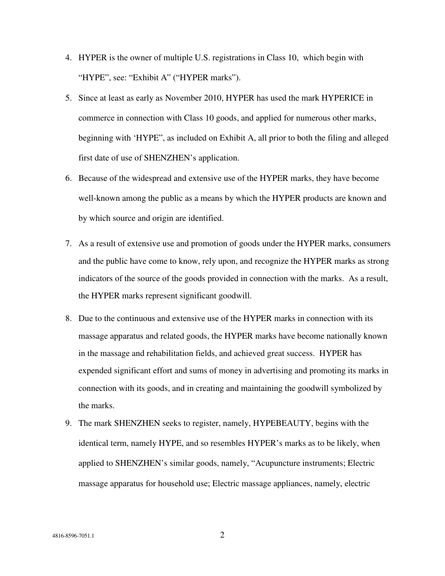- 4. HYPER is the owner of multiple U.S. registrations in Class 10, which begin with "HYPE", see: "Exhibit A" ("HYPER marks").
- 5. Since at least as early as November 2010, HYPER has used the mark HYPERICE in commerce in connection with Class 10 goods, and applied for numerous other marks, beginning with 'HYPE", as included on Exhibit A, all prior to both the filing and alleged first date of use of SHENZHEN's application.
- 6. Because of the widespread and extensive use of the HYPER marks, they have become well-known among the public as a means by which the HYPER products are known and by which source and origin are identified.
- 7. As a result of extensive use and promotion of goods under the HYPER marks, consumers and the public have come to know, rely upon, and recognize the HYPER marks as strong indicators of the source of the goods provided in connection with the marks. As a result, the HYPER marks represent significant goodwill.
- 8. Due to the continuous and extensive use of the HYPER marks in connection with its massage apparatus and related goods, the HYPER marks have become nationally known in the massage and rehabilitation fields, and achieved great success. HYPER has expended significant effort and sums of money in advertising and promoting its marks in connection with its goods, and in creating and maintaining the goodwill symbolized by the marks.
- 9. The mark SHENZHEN seeks to register, namely, HYPEBEAUTY, begins with the identical term, namely HYPE, and so resembles HYPER's marks as to be likely, when applied to SHENZHEN's similar goods, namely, "Acupuncture instruments; Electric massage apparatus for household use; Electric massage appliances, namely, electric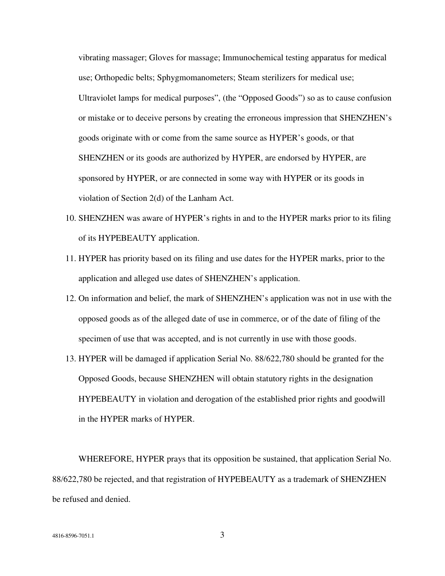vibrating massager; Gloves for massage; Immunochemical testing apparatus for medical use; Orthopedic belts; Sphygmomanometers; Steam sterilizers for medical use; Ultraviolet lamps for medical purposes", (the "Opposed Goods") so as to cause confusion or mistake or to deceive persons by creating the erroneous impression that SHENZHEN's goods originate with or come from the same source as HYPER's goods, or that SHENZHEN or its goods are authorized by HYPER, are endorsed by HYPER, are sponsored by HYPER, or are connected in some way with HYPER or its goods in violation of Section 2(d) of the Lanham Act.

- 10. SHENZHEN was aware of HYPER's rights in and to the HYPER marks prior to its filing of its HYPEBEAUTY application.
- 11. HYPER has priority based on its filing and use dates for the HYPER marks, prior to the application and alleged use dates of SHENZHEN's application.
- 12. On information and belief, the mark of SHENZHEN's application was not in use with the opposed goods as of the alleged date of use in commerce, or of the date of filing of the specimen of use that was accepted, and is not currently in use with those goods.
- 13. HYPER will be damaged if application Serial No. 88/622,780 should be granted for the Opposed Goods, because SHENZHEN will obtain statutory rights in the designation HYPEBEAUTY in violation and derogation of the established prior rights and goodwill in the HYPER marks of HYPER.

WHEREFORE, HYPER prays that its opposition be sustained, that application Serial No. 88/622,780 be rejected, and that registration of HYPEBEAUTY as a trademark of SHENZHEN be refused and denied.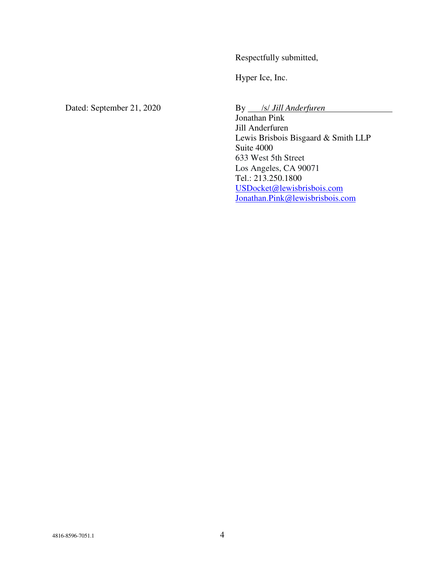Respectfully submitted,

Hyper Ice, Inc.

Dated: September 21, 2020 By *S/ Jill Anderfuren* 

Jonathan Pink Jill Anderfuren Lewis Brisbois Bisgaard & Smith LLP Suite 4000 633 West 5th Street Los Angeles, CA 90071 Tel.: 213.250.1800 USDocket@lewisbrisbois.com Jonathan.Pink@lewisbrisbois.com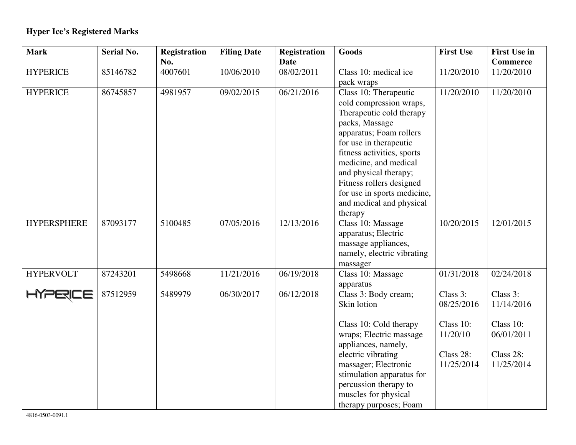# **Hyper Ice's Registered Marks**

| <b>Mark</b>        | <b>Serial No.</b> | <b>Registration</b> | <b>Filing Date</b> | <b>Registration</b> | Goods                       | <b>First Use</b> | <b>First Use in</b> |
|--------------------|-------------------|---------------------|--------------------|---------------------|-----------------------------|------------------|---------------------|
|                    |                   | No.                 |                    | <b>Date</b>         |                             |                  | <b>Commerce</b>     |
| <b>HYPERICE</b>    | 85146782          | 4007601             | 10/06/2010         | 08/02/2011          | Class 10: medical ice       | 11/20/2010       | 11/20/2010          |
|                    |                   |                     |                    |                     | pack wraps                  |                  |                     |
| <b>HYPERICE</b>    | 86745857          | 4981957             | 09/02/2015         | 06/21/2016          | Class 10: Therapeutic       | 11/20/2010       | 11/20/2010          |
|                    |                   |                     |                    |                     | cold compression wraps,     |                  |                     |
|                    |                   |                     |                    |                     | Therapeutic cold therapy    |                  |                     |
|                    |                   |                     |                    |                     | packs, Massage              |                  |                     |
|                    |                   |                     |                    |                     | apparatus; Foam rollers     |                  |                     |
|                    |                   |                     |                    |                     | for use in therapeutic      |                  |                     |
|                    |                   |                     |                    |                     | fitness activities, sports  |                  |                     |
|                    |                   |                     |                    |                     | medicine, and medical       |                  |                     |
|                    |                   |                     |                    |                     | and physical therapy;       |                  |                     |
|                    |                   |                     |                    |                     | Fitness rollers designed    |                  |                     |
|                    |                   |                     |                    |                     | for use in sports medicine, |                  |                     |
|                    |                   |                     |                    |                     | and medical and physical    |                  |                     |
|                    |                   |                     |                    |                     | therapy                     |                  |                     |
| <b>HYPERSPHERE</b> | 87093177          | 5100485             | 07/05/2016         | 12/13/2016          | Class 10: Massage           | 10/20/2015       | 12/01/2015          |
|                    |                   |                     |                    |                     | apparatus; Electric         |                  |                     |
|                    |                   |                     |                    |                     | massage appliances,         |                  |                     |
|                    |                   |                     |                    |                     | namely, electric vibrating  |                  |                     |
|                    |                   |                     |                    |                     | massager                    |                  |                     |
| <b>HYPERVOLT</b>   | 87243201          | 5498668             | 11/21/2016         | 06/19/2018          | Class 10: Massage           | 01/31/2018       | 02/24/2018          |
|                    |                   |                     |                    |                     | apparatus                   |                  |                     |
| <b>PERICE</b>      | 87512959          | 5489979             | 06/30/2017         | 06/12/2018          | Class 3: Body cream;        | Class 3:         | Class 3:            |
|                    |                   |                     |                    |                     | Skin lotion                 | 08/25/2016       | 11/14/2016          |
|                    |                   |                     |                    |                     |                             |                  |                     |
|                    |                   |                     |                    |                     | Class 10: Cold therapy      | Class 10:        | Class 10:           |
|                    |                   |                     |                    |                     | wraps; Electric massage     | 11/20/10         | 06/01/2011          |
|                    |                   |                     |                    |                     | appliances, namely,         |                  |                     |
|                    |                   |                     |                    |                     | electric vibrating          | Class 28:        | Class 28:           |
|                    |                   |                     |                    |                     | massager; Electronic        | 11/25/2014       | 11/25/2014          |
|                    |                   |                     |                    |                     | stimulation apparatus for   |                  |                     |
|                    |                   |                     |                    |                     | percussion therapy to       |                  |                     |
|                    |                   |                     |                    |                     | muscles for physical        |                  |                     |
|                    |                   |                     |                    |                     | therapy purposes; Foam      |                  |                     |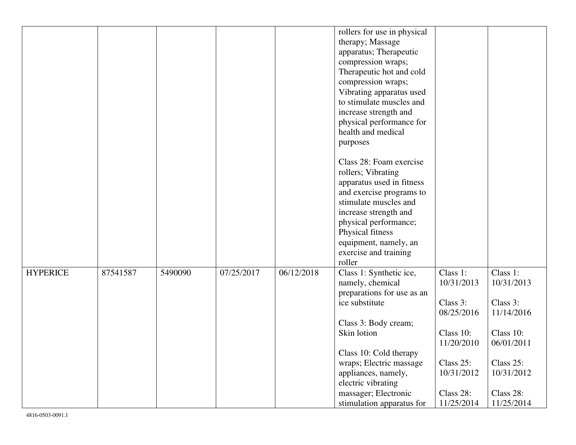|                 |          |         |            |            | rollers for use in physical<br>therapy; Massage<br>apparatus; Therapeutic<br>compression wraps;<br>Therapeutic hot and cold<br>compression wraps;<br>Vibrating apparatus used<br>to stimulate muscles and<br>increase strength and<br>physical performance for<br>health and medical<br>purposes |                                                                                                                                   |                                                                                                                                   |
|-----------------|----------|---------|------------|------------|--------------------------------------------------------------------------------------------------------------------------------------------------------------------------------------------------------------------------------------------------------------------------------------------------|-----------------------------------------------------------------------------------------------------------------------------------|-----------------------------------------------------------------------------------------------------------------------------------|
|                 |          |         |            |            | Class 28: Foam exercise<br>rollers; Vibrating<br>apparatus used in fitness<br>and exercise programs to<br>stimulate muscles and<br>increase strength and<br>physical performance;<br>Physical fitness<br>equipment, namely, an<br>exercise and training<br>roller                                |                                                                                                                                   |                                                                                                                                   |
| <b>HYPERICE</b> | 87541587 | 5490090 | 07/25/2017 | 06/12/2018 | Class 1: Synthetic ice,<br>namely, chemical<br>preparations for use as an<br>ice substitute<br>Class 3: Body cream;<br>Skin lotion<br>Class 10: Cold therapy<br>wraps; Electric massage<br>appliances, namely,<br>electric vibrating<br>massager; Electronic<br>stimulation apparatus for        | Class 1:<br>10/31/2013<br>Class 3:<br>08/25/2016<br>Class 10:<br>11/20/2010<br>Class 25:<br>10/31/2012<br>Class 28:<br>11/25/2014 | Class 1:<br>10/31/2013<br>Class 3:<br>11/14/2016<br>Class 10:<br>06/01/2011<br>Class 25:<br>10/31/2012<br>Class 28:<br>11/25/2014 |